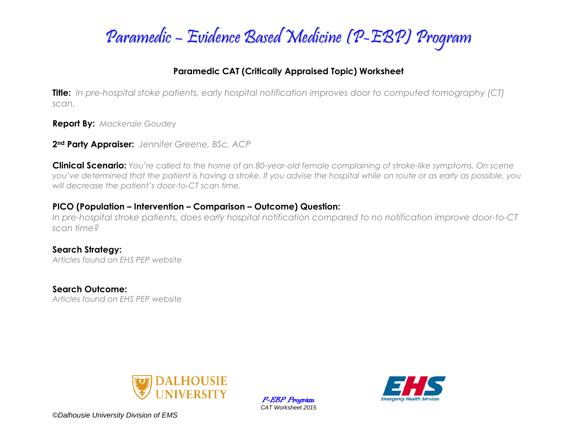

### **Paramedic CAT (Critically Appraised Topic) Worksheet**

**Title:** *In pre-hospital stoke patients, early hospital notification improves door to computed tomography (CT) scan.*

**Report By:** *Mackenzie Goudey*

**2nd Party Appraiser:** *Jennifer Greene, BSc, ACP*

**Clinical Scenario:** *You're called to the home of an 80-year-old female complaining of stroke-like symptoms. On scene you've determined that the patient is having a stroke. If you advise the hospital while on route or as early as possible, you will decrease the patient's door-to-CT scan time.* 

#### **PICO (Population – Intervention – Comparison – Outcome) Question:**

*In pre-hospital stroke patients, does early hospital notification compared to no notification improve door-to-CT scan time?*

**Search Strategy:** *Articles found on EHS PEP website*

**Search Outcome:** *Articles found on EHS PEP website*



P-EBP Program *CAT Worksheet 2015*

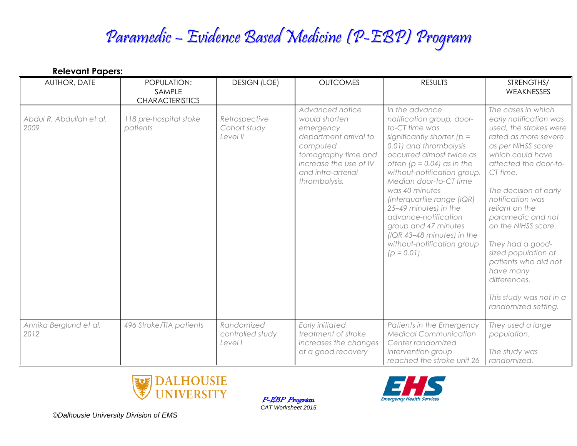# Paramedic – Evidence Based Medicine (P-EBP) Program

| <b>Relevant Papers:</b>          |                                                 |                                           |                                                                                                                                                                            |                                                                                                                                                                                                                                                                                                                                                                                                                                                        |                                                                                                                                                                                                                                                                                                                                                                                                                                            |
|----------------------------------|-------------------------------------------------|-------------------------------------------|----------------------------------------------------------------------------------------------------------------------------------------------------------------------------|--------------------------------------------------------------------------------------------------------------------------------------------------------------------------------------------------------------------------------------------------------------------------------------------------------------------------------------------------------------------------------------------------------------------------------------------------------|--------------------------------------------------------------------------------------------------------------------------------------------------------------------------------------------------------------------------------------------------------------------------------------------------------------------------------------------------------------------------------------------------------------------------------------------|
| AUTHOR, DATE                     | POPULATION:<br>SAMPLE<br><b>CHARACTERISTICS</b> | <b>DESIGN (LOE)</b>                       | <b>OUTCOMES</b>                                                                                                                                                            | <b>RESULTS</b>                                                                                                                                                                                                                                                                                                                                                                                                                                         | STRENGTHS/<br>WEAKNESSES                                                                                                                                                                                                                                                                                                                                                                                                                   |
| Abdul R. Abdullah et al.<br>2009 | 118 pre-hospital stoke<br>patients              | Retrospective<br>Cohort study<br>Level II | Advanced notice<br>would shorten<br>emergency<br>department arrival to<br>computed<br>tomography time and<br>increase the use of IV<br>and intra-arterial<br>thrombolysis. | In the advance<br>notification group, door-<br>to-CT time was<br>significantly shorter ( $p =$<br>0.01) and thrombolysis<br>occurred almost twice as<br>often ( $p = 0.04$ ) as in the<br>without-notification group.<br>Median door-to-CT time<br>was 40 minutes<br>(interquartile range [IQR]<br>25-49 minutes) in the<br>advance-notification<br>group and 47 minutes<br>(IQR 43-48 minutes) in the<br>without-notification group<br>$(p = 0.01)$ . | The cases in which<br>early notification was<br>used, the strokes were<br>rated as more severe<br>as per NIHSS score<br>which could have<br>affected the door-to-<br>CT time.<br>The decision of early<br>notification was<br>reliant on the<br>paramedic and not<br>on the NIHSS score.<br>They had a good-<br>sized population of<br>patients who did not<br>have many<br>differences.<br>This study was not in a<br>randomized setting. |
| Annika Berglund et al.<br>2012   | 496 Stroke/TIA patients                         | Randomized<br>controlled study<br>Level I | <b>Early initiated</b><br>treatment of stroke<br>increases the changes<br>of a good recovery                                                                               | Patients in the Emergency<br><b>Medical Communication</b><br>Center randomized<br>intervention group<br>reached the stroke unit 26                                                                                                                                                                                                                                                                                                                     | They used a large<br>population.<br>The study was<br>randomized.                                                                                                                                                                                                                                                                                                                                                                           |



P-EBP Program *CAT Worksheet 2015*

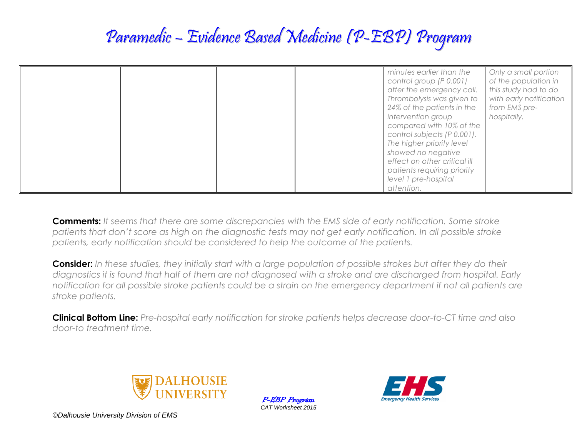### Paramedic – Evidence Based Medicine (P-EBP) Program

|  | minutes earlier than the<br>Only a small portion<br>of the population in<br>control group (P 0.001)<br>this study had to do<br>after the emergency call.<br>Thrombolysis was given to<br>with early notification<br>24% of the patients in the<br>from EMS pre-<br>intervention group<br>hospitally.<br>compared with 10% of the<br>control subjects (P 0.001).<br>The higher priority level<br>showed no negative<br>effect on other critical ill |
|--|----------------------------------------------------------------------------------------------------------------------------------------------------------------------------------------------------------------------------------------------------------------------------------------------------------------------------------------------------------------------------------------------------------------------------------------------------|
|  | patients requiring priority                                                                                                                                                                                                                                                                                                                                                                                                                        |
|  | level 1 pre-hospital<br>attention.                                                                                                                                                                                                                                                                                                                                                                                                                 |

**Comments:** *It seems that there are some discrepancies with the EMS side of early notification. Some stroke patients that don't score as high on the diagnostic tests may not get early notification. In all possible stroke patients, early notification should be considered to help the outcome of the patients.* 

**Consider:** *In these studies, they initially start with a large population of possible strokes but after they do their diagnostics it is found that half of them are not diagnosed with a stroke and are discharged from hospital. Early notification for all possible stroke patients could be a strain on the emergency department if not all patients are stroke patients.* 

**Clinical Bottom Line:** *Pre-hospital early notification for stroke patients helps decrease door-to-CT time and also door-to treatment time.* 



P-EBP Program *CAT Worksheet 2015*